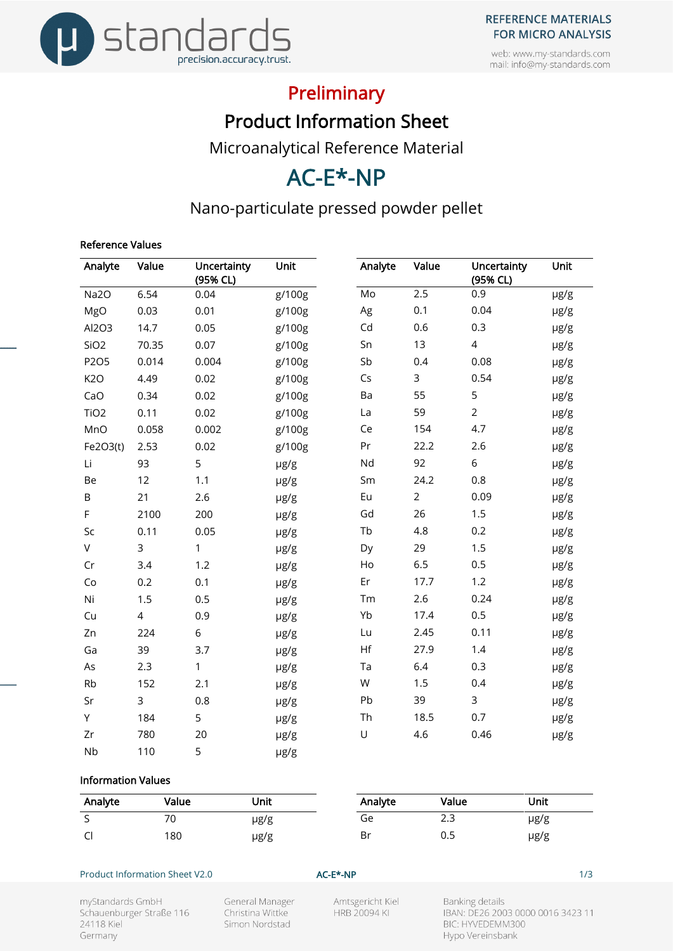





## Preliminary

Product Information Sheet

Microanalytical Reference Material

# AC-E\*-NP

### Nano-particulate pressed powder pellet

#### Reference Values

| Analyte          | Value | Uncertainty<br>(95% CL) | Unit   | Analyte | Value          | Uncertainty<br>(95% CL) | Unit |
|------------------|-------|-------------------------|--------|---------|----------------|-------------------------|------|
| Na2O             | 6.54  | 0.04                    | g/100g | Mo      | 2.5            | 0.9                     | µg/g |
| MgO              | 0.03  | 0.01                    | g/100g | Ag      | 0.1            | 0.04                    | µg/g |
| Al2O3            | 14.7  | 0.05                    | g/100g | Cd      | 0.6            | 0.3                     | µg/g |
| SiO <sub>2</sub> | 70.35 | 0.07                    | g/100g | Sn      | 13             | $\overline{4}$          | µg/g |
| P2O5             | 0.014 | 0.004                   | g/100g | Sb      | 0.4            | 0.08                    | µg/g |
| K <sub>2</sub> O | 4.49  | 0.02                    | g/100g | Cs      | $\mathsf{3}$   | 0.54                    | µg/g |
| CaO              | 0.34  | 0.02                    | g/100g | Ba      | 55             | 5                       | µg/g |
| TiO <sub>2</sub> | 0.11  | 0.02                    | g/100g | La      | 59             | $\overline{2}$          | µg/g |
| MnO              | 0.058 | 0.002                   | g/100g | Ce      | 154            | 4.7                     | µg/g |
| Fe2O3(t)         | 2.53  | 0.02                    | g/100g | Pr      | 22.2           | 2.6                     | µg/g |
| Li               | 93    | 5                       | µg/g   | Nd      | 92             | 6                       | µg/g |
| Be               | 12    | 1.1                     | µg/g   | Sm      | 24.2           | 0.8                     | µg/g |
| B                | 21    | 2.6                     | µg/g   | Eu      | $\overline{2}$ | 0.09                    | µg/g |
| F                | 2100  | 200                     | µg/g   | Gd      | 26             | 1.5                     | µg/g |
| Sc               | 0.11  | 0.05                    | µg/g   | Tb      | 4.8            | 0.2                     | µg/g |
| V                | 3     | 1                       | µg/g   | Dy      | 29             | 1.5                     | µg/g |
| Cr               | 3.4   | 1.2                     | µg/g   | Ho      | 6.5            | 0.5                     | µg/g |
| Co               | 0.2   | 0.1                     | µg/g   | Er      | 17.7           | 1.2                     | µg/g |
| Ni               | 1.5   | 0.5                     | µg/g   | Tm      | 2.6            | 0.24                    | µg/g |
| Cu               | 4     | 0.9                     | µg/g   | Yb      | 17.4           | 0.5                     | µg/g |
| Zn               | 224   | 6                       | µg/g   | Lu      | 2.45           | 0.11                    | µg/g |
| Ga               | 39    | 3.7                     | µg/g   | Hf      | 27.9           | 1.4                     | µg/g |
| As               | 2.3   | $\mathbf{1}$            | µg/g   | Ta      | 6.4            | 0.3                     | µg/g |
| Rb               | 152   | 2.1                     | µg/g   | W       | 1.5            | 0.4                     | µg/g |
| Sr               | 3     | 0.8                     | µg/g   | Pb      | 39             | $\mathsf{3}$            | µg/g |
| Y                | 184   | 5                       | µg/g   | Th      | 18.5           | 0.7                     | µg/g |
| Zr               | 780   | 20                      | µg/g   | $\cup$  | 4.6            | 0.46                    | µg/g |
| <b>Nb</b>        | 110   | 5                       | µg/g   |         |                |                         |      |

#### Information Values

| Analyte | Value     | Unit | Analyte | Value | Unit |
|---------|-----------|------|---------|-------|------|
| ∽<br>◡  | 70<br>. U | µg/g | Ge      | د.ء   | µg/g |
| C       | 180       | µg/g | Br      | 0.5   | µg/g |

#### Product Information Sheet V2.0 **AC-E\*-NP AC-E\*-NP** 1/3

myStandards GmbH Schauenburger Straße 116 24118 Kiel Germany

General Manager Christina Wittke Simon Nordstad

Amtsgericht Kiel **HRB 20094 KI** 

**Banking details** IBAN: DE26 2003 0000 0016 3423 11 BIC: HYVEDEMM300 Hypo Vereinsbank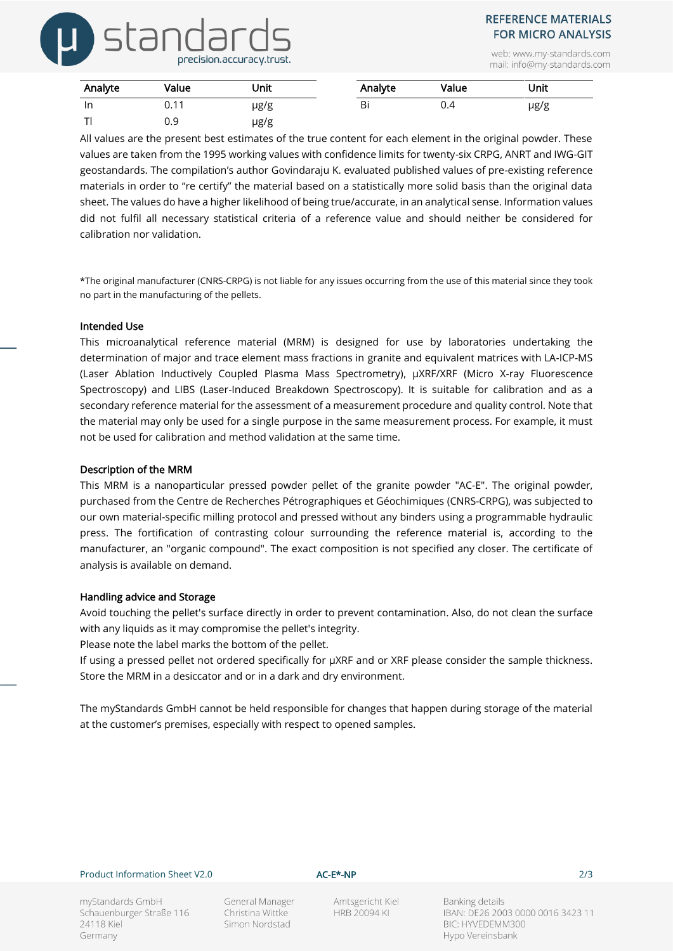# stand precision.accuracy.trust.

### **REFERENCE MATERIALS FOR MICRO ANALYSIS**

web: www.my-standards.com mail: info@my-standards.com

| Analyte      | Value | Unit      | Analyte | Value | Unit      |  |
|--------------|-------|-----------|---------|-------|-----------|--|
| -In          | 0.11  | $\mu$ g/g | Bi      | 0.4   | $\mu$ g/g |  |
| $\mathbf{r}$ | 0.9   | $\mu$ g/g |         |       |           |  |

All values are the present best estimates of the true content for each element in the original powder. These values are taken from the 1995 working values with confidence limits for twenty-six CRPG, ANRT and IWG-GIT geostandards. The compilation's author Govindaraju K. evaluated published values of pre-existing reference materials in order to "re certify" the material based on a statistically more solid basis than the original data sheet. The values do have a higher likelihood of being true/accurate, in an analytical sense. Information values did not fulfil all necessary statistical criteria of a reference value and should neither be considered for calibration nor validation.

\*The original manufacturer (CNRS-CRPG) is not liable for any issues occurring from the use of this material since they took no part in the manufacturing of the pellets.

#### Intended Use

This microanalytical reference material (MRM) is designed for use by laboratories undertaking the determination of major and trace element mass fractions in granite and equivalent matrices with LA-ICP-MS (Laser Ablation Inductively Coupled Plasma Mass Spectrometry), µXRF/XRF (Micro X-ray Fluorescence Spectroscopy) and LIBS (Laser-Induced Breakdown Spectroscopy). It is suitable for calibration and as a secondary reference material for the assessment of a measurement procedure and quality control. Note that the material may only be used for a single purpose in the same measurement process. For example, it must not be used for calibration and method validation at the same time.

#### Description of the MRM

This MRM is a nanoparticular pressed powder pellet of the granite powder "AC-E". The original powder, purchased from the Centre de Recherches Pétrographiques et Géochimiques (CNRS-CRPG), was subjected to our own material-specific milling protocol and pressed without any binders using a programmable hydraulic press. The fortification of contrasting colour surrounding the reference material is, according to the manufacturer, an "organic compound". The exact composition is not specified any closer. The certificate of analysis is available on demand.

#### Handling advice and Storage

Avoid touching the pellet's surface directly in order to prevent contamination. Also, do not clean the surface with any liquids as it may compromise the pellet's integrity.

Please note the label marks the bottom of the pellet.

If using a pressed pellet not ordered specifically for µXRF and or XRF please consider the sample thickness. Store the MRM in a desiccator and or in a dark and dry environment.

The myStandards GmbH cannot be held responsible for changes that happen during storage of the material at the customer's premises, especially with respect to opened samples.

#### Product Information Sheet V2.0 **AC-E\*-NP AC-E\*-NP** 2/3

myStandards GmbH Schauenburger Straße 116 24118 Kiel Germany

General Manager Christina Wittke Simon Nordstad

Amtsgericht Kiel **HRB 20094 KI** 

Banking details IBAN: DE26 2003 0000 0016 3423 11 BIC: HYVEDEMM300 Hypo Vereinsbank